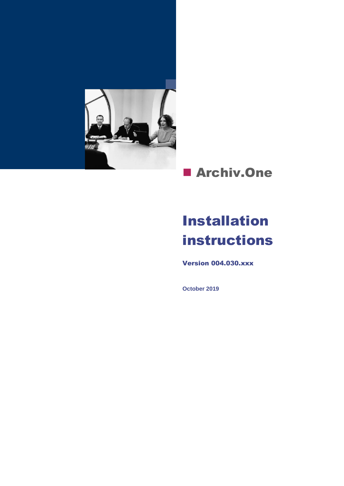

### **E** Archiv.One

### Installation instructions

Version 004.030.xxx

**October 2019**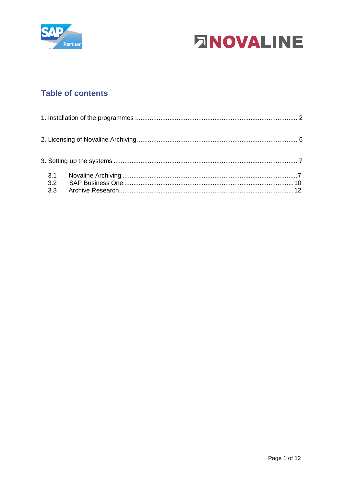



### **Table of contents**

| 3.1<br>3.2<br>3.3 |  |
|-------------------|--|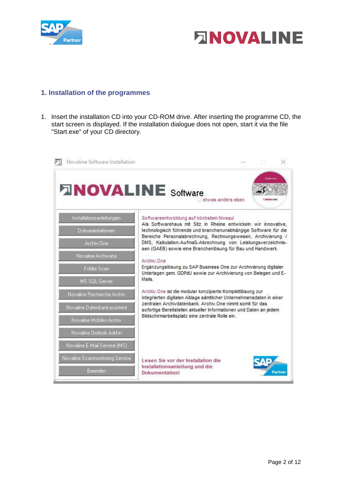



#### <span id="page-2-0"></span>**1. Installation of the programmes**

1. Insert the installation CD into your CD-ROM drive. After inserting the programme CD, the start screen is displayed. If the installation dialogue does not open, start it via the file "Start.exe" of your CD directory.

| Novaline Software Installation  |                                                                                                                                                                                           |
|---------------------------------|-------------------------------------------------------------------------------------------------------------------------------------------------------------------------------------------|
| <b>FINOVALINE Software</b>      | etwas anders eben.                                                                                                                                                                        |
| Installationsanleitungen        | Softwareentwicklung auf höchstem Niveau!                                                                                                                                                  |
| Dokumentationen                 | Als Softwarehaus mit Sitz in Rheine entwickeln wir innovative,<br>technologisch führende und branchenunabhängige Software für die                                                         |
| Archiv.One                      | Bereiche Personalabrechnung, Rechnungswesen, Archivierung /<br>DMS, Kalkulation-Aufmaß-Abrechnung von Leistungsverzeichnis-<br>sen (GAEB) sowie eine Branchenlösung für Bau und Handwerk. |
| Novaline Archivator             |                                                                                                                                                                                           |
| Folder Scan                     | Archiv One<br>Ergänzungslösung zu SAP Business One zur Archivierung digitaler<br>Unterlagen gem. GDPdU sowie zur Archivierung von Belegen und E-                                          |
| MS SQL-Server                   | Mails.                                                                                                                                                                                    |
| Novaline Recherche Archiv       | Archiv.One ist die modular konzipierte Komplettlösung zur<br>integrierten digitalen Ablage sämtlicher Unternehmensdaten in einer                                                          |
| Novaline Datenbankassistent     | zentralen Archivdatenbank, Archiv One nimmt somit für das<br>sofortige Bereitstellen aktueller Informationen und Daten an jedem                                                           |
| Novaline Mobiles Archiv         | Bildschirmarbeitsplatz eine zentrale Rolle ein.                                                                                                                                           |
| Novaline Outlook Add-in         |                                                                                                                                                                                           |
| Novaline E-Mail Service (MS)    |                                                                                                                                                                                           |
| Novaline Scanmonitoring Service | Lesen Sie vor der Installation die                                                                                                                                                        |
| Beenden                         | Installationsanleitung und die<br>Dokumentation!                                                                                                                                          |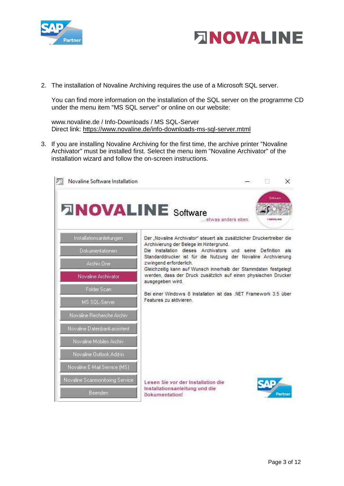



2. The installation of Novaline Archiving requires the use of a Microsoft SQL server.

You can find more information on the installation of the SQL server on the programme CD under the menu item "MS SQL server" or online on our website:

www.novaline.de / Info-Downloads / MS SQL-Server Direct link:<https://www.novaline.de/info-downloads-ms-sql-server.mtml>

3. If you are installing Novaline Archiving for the first time, the archive printer "Novaline Archivator" must be installed first. Select the menu item "Novaline Archivator" of the installation wizard and follow the on-screen instructions.

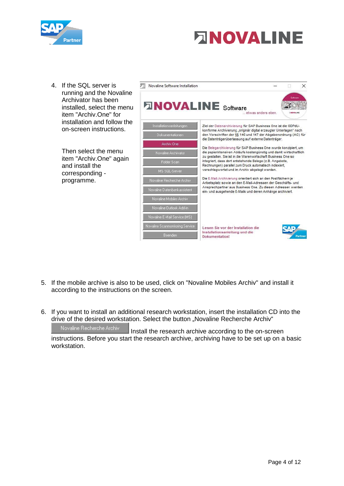

# **ANOVALINE**

4. If the SQL server is running and the Nov Archivator has been installed, select the item "Archiv.One" for installation and follo on-screen instructio

> Then select the mer item "Archiv.One" ad and install the corresponding programme.

|                      | Novaline Software Installation  |                                                                                                                                        |                                                                    | $\times$ |  |  |  |
|----------------------|---------------------------------|----------------------------------------------------------------------------------------------------------------------------------------|--------------------------------------------------------------------|----------|--|--|--|
| valine<br>menu<br>or | <b>DINOVALINE</b> Software      | etwas anders eben                                                                                                                      | <b><i>CANDWALBER</i></b>                                           | Sotward  |  |  |  |
| w the<br>)ns.        | Installationsanleitungen        | Ziel der Datenarchivierung für SAP Business One ist die GDPdU-                                                                         |                                                                    |          |  |  |  |
|                      | Dokumentationen                 | den Vorschriften der §§ 146 und 147 der Abgabenordnung (AO) für                                                                        | konforme Archivierung "originär digital erzeugter Unterlagen" nach |          |  |  |  |
|                      | Archiv Fine                     | die Datenträgerüberlassung auf externe Datenträger.                                                                                    |                                                                    |          |  |  |  |
| nu                   | Novaline Archivator             | Die Belegarchivierung für SAP Business One wurde konzipiert, um<br>die papierintensiven Abläufe kostengünstig und damit wirtschaftlich |                                                                    |          |  |  |  |
| ıgain                | Folder Scan                     | zu gestalten. Sie ist in die Warenwirtschaft Business One so<br>integriert, dass dort entstehende Belege (z.B. Angebote,               |                                                                    |          |  |  |  |
|                      | MS SOL-Server                   | Rechnungen) parallel zum Druck automatisch indexiert,<br>verschlagwortet und im Archiv abgelegt werden.                                |                                                                    |          |  |  |  |
|                      | Novaline Recherche Archiv       | Die E-Mail-Archivierung orientiert sich an den Postfächern je<br>Arbeitsplatz sowie an den E-Mail-Adressen der Geschäfts- und          |                                                                    |          |  |  |  |
|                      | Novaline Datenbankassistent     | Ansprechpartner aus Business One. Zu diesen Adressen werden<br>ein- und ausgehende E-Mails und deren Anhänge archiviert.               |                                                                    |          |  |  |  |
|                      | Novaline Mobiles Archiv         |                                                                                                                                        |                                                                    |          |  |  |  |
|                      | Novaline Outlook Add-in         |                                                                                                                                        |                                                                    |          |  |  |  |
|                      | Novaline E-Mail Service (MS)    |                                                                                                                                        |                                                                    |          |  |  |  |
|                      | Novaline Scanmonitoring Service | Lesen Sie vor der Installation die                                                                                                     |                                                                    |          |  |  |  |
|                      | Beenden                         | Installationsanleitung und die<br>Dokumentation!                                                                                       |                                                                    | Partne   |  |  |  |

- 5. If the mobile archive is also to be used, click on "Novaline Mobiles Archiv" and install it according to the instructions on the screen.
- 6. If you want to install an additional research workstation, insert the installation CD into the drive of the desired workstation. Select the button "Novaline Recherche Archiv"

Novaline Recherche Archiv I Install the research archive according to the on-screen instructions. Before you start the research archive, archiving have to be set up on a basic workstation.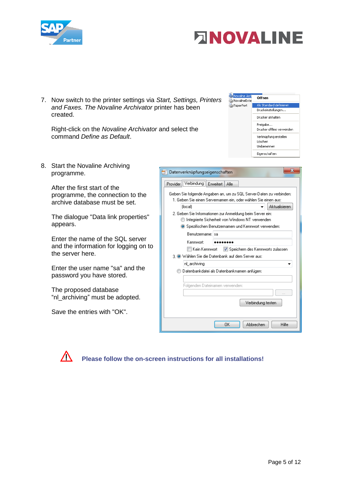



7. Now switch to the printer settings via *Start, Settings, Printers and Faxes. The Novaline Archivator* printer has been created.

Right-click on the *Novaline Archivator* and select the command *Define as Default*.



8. Start the Novaline Archiving programme.

> After the first start of the programme, the connection to the archive database must be set.

The dialogue "Data link properties" appears.

Enter the name of the SQL server and the information for logging on to the server here.

Enter the user name "sa" and the password you have stored.

The proposed database "nl\_archiving" must be adopted.

Save the entries with "OK".

| х<br>Datenverknüpfungseigenschaften                                                                                                                                         |  |  |  |  |
|-----------------------------------------------------------------------------------------------------------------------------------------------------------------------------|--|--|--|--|
| Provider Verbindung Erweitert<br>Alle                                                                                                                                       |  |  |  |  |
| Geben Sie folgende Angaben an, um zu SQL Server-Daten zu verbinden:<br>1. Geben Sie einen Servernamen ein, oder wählen Sie einen aus:                                       |  |  |  |  |
| Aktualisieren<br>(local)                                                                                                                                                    |  |  |  |  |
| 2. Geben Sie Informationen zur Anmeldung beim Server ein:<br>Integrierte Sicherheit von Windows NT verwenden<br><b>O</b> Spezifischen Benutzernamen und Kennwort verwenden: |  |  |  |  |
| Benutzername: Isal                                                                                                                                                          |  |  |  |  |
| Kennworh                                                                                                                                                                    |  |  |  |  |
| Speichern des Kennworts zulassen<br>I⊟ Kein Kennwort                                                                                                                        |  |  |  |  |
| 3 O Wählen Sie die Datenbank auf dem Server aus:                                                                                                                            |  |  |  |  |
| nl_archiving                                                                                                                                                                |  |  |  |  |
| Datenbankdatei als Datenbanknamen anfügen:                                                                                                                                  |  |  |  |  |
|                                                                                                                                                                             |  |  |  |  |
| Folgenden Dateinamen verwenden:                                                                                                                                             |  |  |  |  |
|                                                                                                                                                                             |  |  |  |  |
| Verbindung testen                                                                                                                                                           |  |  |  |  |
|                                                                                                                                                                             |  |  |  |  |
| OK<br>Abbrechen<br>Hilfe                                                                                                                                                    |  |  |  |  |
|                                                                                                                                                                             |  |  |  |  |



**Please follow the on-screen instructions for all installations!**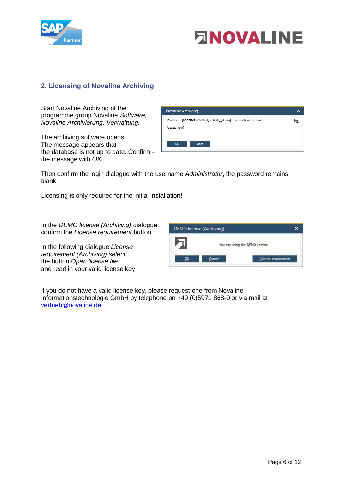



#### <span id="page-6-0"></span>**2. Licensing of Novaline Archiving**

Start Novaline Archiving of the programme group Novaline *Software, Novaline Archivierung, Verwaltung.* 

The archiving software opens. The message appears that the database is not up to date. Confirm the message with *OK.*



Then confirm the login dialogue with the username *Administrator*, the password remains blank.

Licensing is only required for the initial installation!

In the *DEMO license (Archiving)* dialogue, confirm the *License requirement* button.

In the following dialogue *License requirement (Archiving) select* the button *Open license file*  and read in your valid license key.



If you do not have a valid license key, please request one from Novaline Informationstechnologie GmbH by telephone on +49 (0)5971 868-0 or via mail at [vertrieb@novaline.de.](mailto:vertrieb@novaline.de)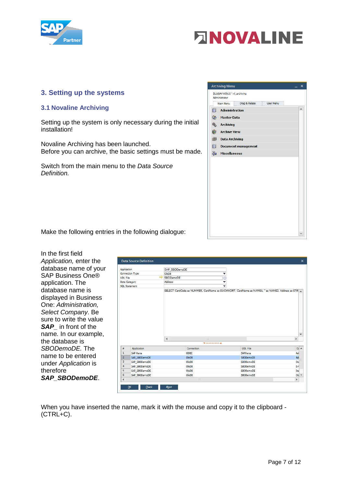



#### <span id="page-7-0"></span>**3. Setting up the systems**

#### <span id="page-7-1"></span>**3.1 Novaline Archiving**

Setting up the system is only necessary during the initial installation!

Novaline Archiving has been launched. Before you can archive, the basic settings must be made.

Switch from the main menu to the *Data Source Definition.*



Make the following entries in the following dialogue:

In the first field *Application,* enter the database name of your SAP Business One® application. The database name is displayed in Business One: *Administration, Select Company*. Be sure to write the value **SAP** in front of the name*.* In our example, the database is *SBODemoDE.* The name to be entered under *Application* is therefore *SAP\_SBODemoDE*.

| Application          |                 | SAP SBODemoDE          |                         |                 |                              |
|----------------------|-----------------|------------------------|-------------------------|-----------------|------------------------------|
|                      | Connection Type | OleDB                  | ▼                       |                 |                              |
| UDL File             |                 | SBODemoDE              | G                       |                 |                              |
|                      | Data Category   | Address                | $\overline{\mathbf{v}}$ |                 |                              |
|                      | SQL Statement   |                        | v                       |                 |                              |
|                      |                 |                        |                         |                 |                              |
|                      |                 |                        |                         |                 |                              |
|                      |                 | $\overline{4}$         | 滋                       |                 | $\overline{\mathbf{v}}$<br>r |
|                      |                 |                        | Witnessenssens (A)      |                 |                              |
| $\frac{1}{\sqrt{2}}$ | Application     | Connection             |                         | <b>UDL File</b> | $Di$ $\triangle$             |
| $\mathbf{1}$         | SAP Hana        | ODBC                   |                         | SAPHana         | Ad                           |
| $\overline{2}$       | SAP SBODemoDE   | OleDB                  |                         | SBODemoDE       | Ad                           |
| 3                    | SAP_SBODemoDE   | OleDB                  |                         | SBODemoDE       | Do                           |
| $\overline{4}$       | SAP SBODemoDE   | $O$ <sub>le</sub> $DB$ |                         | SBODemoDE       | $E - r$                      |
| 5                    | SAP SBODemoDE   | $O = DB$               |                         | SBODemoDE       | Ite                          |
| $\mathsf 6$          | SAP SBODemoDE   | OleDB<br>23            |                         | SBODemoDE       | Ob<br>$\mathbf{p}$           |

When you have inserted the name, mark it with the mouse and copy it to the clipboard - (CTRL+C).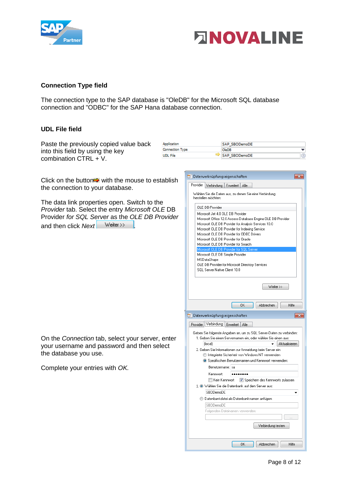



#### **Connection Type field**

The connection type to the SAP database is "OleDB" for the Microsoft SQL database connection and "ODBC" for the SAP Hana database connection.

#### **UDL File field**

Paste the previously copied value back Application SAP SBODemoDE **Connection Type** OleDB into this field by using the key ┯ **UDL File** SAP\_SBODemoDE  $\circledcirc$ combination CTRL + V. Datenverknüpfungseigenschaften  $\boxed{\mathbf{x}}$ Click on the button $\Rightarrow$  with the mouse to establish Provider Verbindung Erweitert Alle the connection to your database. Wählen Sie die Daten aus, zu denen Sie eine Verbindung herstellen möchten: The data link properties open. Switch to the OLE DB-Provider *Provider* tab. Select the entry *Microsoft OLE* DB Microsoft Jet 4.0 OLE DB Provider Provider *for SQL Server* as the *OLE DB Provider*  Microsoft Office 12.0 Access Database Engine OLE DB Provider Microsoft OLE DB Provider for Analysis Services 10.0 and then click *Next* Weiter >> Microsoft OLE DB Provider for Indexing Service Microsoft OLE DB Provider for ODBC Drivers Microsoft OLE DB Provider for Oracle Microsoft OLE DB Provider for Search Microsoft OLE DB Simple Provider MSDataShape OLE DB Provider for Microsoft Directory Services SQL Server Native Client 10.0  $Weiter \gg$ Abbrechen  $OK$ Hilfe Datenverknüpfungseigenschaften  $\overline{-x}$ Provider Verbindung Erweitert Alle Geben Sie folgende Angaben an, um zu SQL Server-Daten zu verbinden: On the *Connection* tab, select your server, enter 1. Geben Sie einen Servernamen ein, oder wählen Sie einen aus: flocall  $\overline{\phantom{a}}$  Aktualisieren your username and password and then select 2. Geben Sie Informationen zur Anmeldung beim Server ein: the database you use. Integrierte Sicherheit von Windows NT verwenden **O** Spezifischen Benutzernamen und Kennwort verwenden: Complete your entries with *OK.* Renutzername: sa Kennwort: ........

Hilfe

Verbindung testen

Abbrechen

Kein Kennwort V Speichern des Kennworts zulassen

3. Wählen Sie die Datenbank auf dem Server aus:

O Datenbankdatei als Datenbanknamen anfügen:

 $0K$ 

Folgenden Dateinamen verwenden

SBODemoDE

SBODemoDE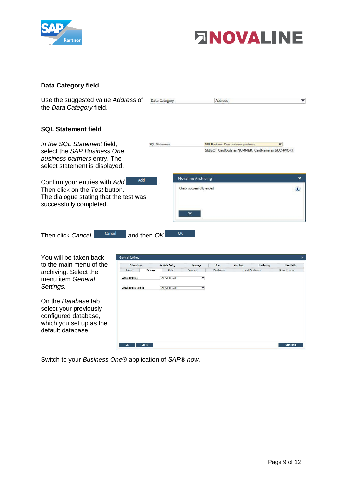



#### **Data Category field**

| Use the suggested value Address of<br>the Data Category field.                                      | Data Category        |                          | Address                                          |              |
|-----------------------------------------------------------------------------------------------------|----------------------|--------------------------|--------------------------------------------------|--------------|
| <b>SQL Statement field</b>                                                                          |                      |                          |                                                  |              |
| In the SQL Statement field,                                                                         | <b>SOL</b> Statement |                          | SAP Business One business partners               |              |
| select the SAP Business One<br>business partners entry. The<br>select statement is displayed.       |                      |                          | SELECT CardCode as NUMMER, CardName as SUCHWORT, |              |
| Add<br>Confirm your entries with Add                                                                |                      | Novaline Archiving       |                                                  | ×            |
| Then click on the Test button.<br>The dialogue stating that the test was<br>successfully completed. |                      | Check successfully ended |                                                  | $\mathbf{u}$ |
|                                                                                                     |                      | OK                       |                                                  |              |
| Cancel<br>and then OK<br>Then click Cancel                                                          |                      | ОК                       |                                                  |              |

| You will be taken back                                                                                                | General Settings            |          |                         |                            |                      |            |                             |                     |
|-----------------------------------------------------------------------------------------------------------------------|-----------------------------|----------|-------------------------|----------------------------|----------------------|------------|-----------------------------|---------------------|
| to the main menu of the                                                                                               | Full-text index             |          | Bar Code Testing        | Language                   | Scan                 | Auto Login | Pre-Posting                 | User Fields         |
| archiving. Select the<br>menu item General                                                                            | Options<br>Current database | Database | Update<br>SAP SBODemoDE | Signierung<br>$\mathbf{v}$ | <b>Preallocation</b> |            | <b>F-mail Prealingation</b> | Belegerkennung      |
| Settings.                                                                                                             | Default database article    |          | SAP SBODemoDE           | ▼                          |                      |            |                             |                     |
| On the Database tab<br>select your previously<br>configured database,<br>which you set up as the<br>default database. |                             |          |                         |                            |                      |            |                             |                     |
|                                                                                                                       | OK                          | Cancel   |                         |                            |                      |            |                             | <b>User Profile</b> |

Switch to your *Business One®* application of *SAP® now.*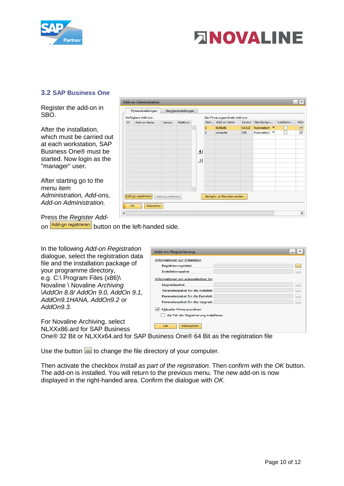

## **ENOVALINE**

#### <span id="page-10-0"></span>**3.2 SAP Business One**

Register the add-on in SBO.

After the installation, which must be carried out at each workstation, SAP Business One® must be started. Now login as the "manager" user.

After starting go to the menu item *Administration, Add-ons, Add-on Administration.* 

 $\Box$ Add-on-Administration Firmeneinstellungen Benutzereinstellungen Verfügbare Add-ons Der Firma zugeordnete Add-ons ID Add-on-Name Reih... Add-on-Name Version Standardgru... Installation Aktiv Plattform Version NI 90x86 5.0.132 Automatisch  $\overline{\mathbf{v}}$  $\mathbf{H}$  $\overline{z}$ coresuite 3.90 Automatisch v  $\overline{\mathbf{v}}$  $\overline{\mathbf{A}}$  $\overline{\phantom{0}}$ Add-gn registrieren Add-on entfernen Benachr. an Benutzer senden OK Abbrechen  $\leftarrow$  $\mathfrak{b}$ 

Press the *Register Add-*

on **Add-on registrieren** button on the left-handed side.

In the following *Add-on Registration*  dialogue*,* select the registration data file and the installation package of your programme directory, e.g. C:\ Program Files (x86)\ Novaline \ Novaline *Archiving \AddOn 8.8/ AddOn 9.0, AddOn 9.1, AddOn9.1HANA, AddOn9.2 or AddOn9.3.*

For Novaline Archiving, select NLXXx86.ard for SAP Business

| Add-on-Registrierung                                                                   | $\sim$<br>$ \mathbb{R}$ |
|----------------------------------------------------------------------------------------|-------------------------|
| Informationen zur Installation                                                         |                         |
| Registrierungsdatei                                                                    | $\cdots$                |
| Installationspaket                                                                     | 111                     |
| Informationen zur automatischen Ins                                                    |                         |
| Upgradepaket                                                                           | $\cdots$                |
| Parameterpaket für die Installati                                                      | $\cdots$                |
| Parameterpaket für die Deinstall:                                                      | sax.                    |
| Parameterpaket für das Upgrade                                                         | $\cdots$                |
| Aktueller Firma zuordnen<br>Als Teil der Registrierung installieren<br>Abbrechen<br>OK |                         |

One® 32 Bit or NLXXx64.ard for SAP Business One® 64 Bit as the registration file.

Use the button we to change the file directory of your computer.

Then activate the checkbox *Install as part of the registration.* Then confirm with the *OK* button. The add-on is installed. You will return to the previous menu. The new add-on is now displayed in the right-handed area. Confirm the dialogue with *OK.*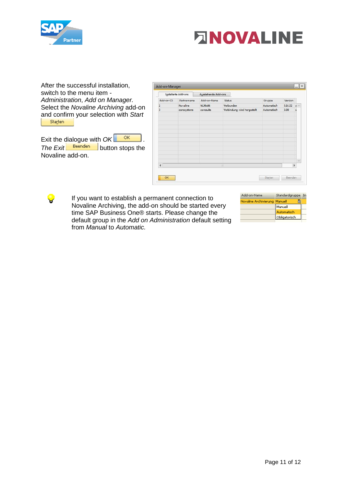

Ŧ



After the successful installation, switch to the menu item *- Administration*, *Add on Manager.*  Select the *Novaline Archiving* add-on and confirm your selection with *Start* 

Exit the dialogue with  $OK$  **...** *The Exit* **Beenden** button stops the Novaline add-on.

|                | Installierte Add-ons | Ausstehende Add-ons |                             |             |         |                          |
|----------------|----------------------|---------------------|-----------------------------|-------------|---------|--------------------------|
| Add-on-ID      | Partnername          | Add-on-Name         | Status                      | Gruppe      | Version |                          |
| $\overline{2}$ | Novaline             | NL90x86             | Verbunden.                  | Automatisch | 5.0.132 | $\boldsymbol{\times}$    |
| $\overline{3}$ | coresystems          | coresuite           | Verbindung wird hergestellt | Automatisch | 3.90    |                          |
|                |                      |                     |                             |             |         |                          |
|                |                      |                     |                             |             |         |                          |
|                |                      |                     |                             |             |         | $\overline{\mathcal{A}}$ |
| 4              |                      |                     | df.                         |             |         | þ                        |

If you want to establish a permanent connection to Novaline Archiving, the add-on should be started every time SAP Business One® starts. Please change the default group in the *Add on Administration* default setting from *Manual* to *Automatic.*

| Add-on-Name           | Standardgruppe In |  |
|-----------------------|-------------------|--|
| Novaline Archivierung | Manuell<br>៶      |  |
|                       | Manuell           |  |
|                       | Automatisch       |  |
|                       | Obligatorisch     |  |
|                       |                   |  |